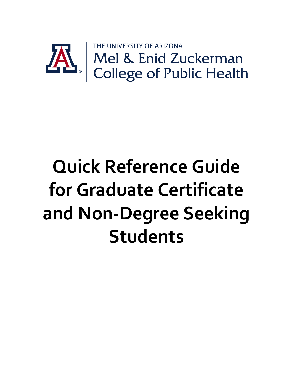

# **Quick Reference Guide for Graduate Certificate and Non-Degree Seeking Students**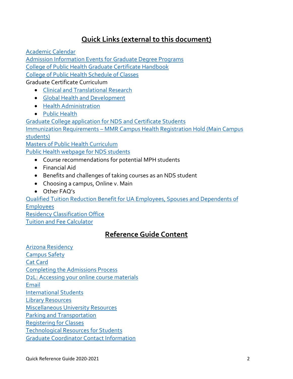# **Quick Links (external to this document)**

[Academic Calendar](https://catalog.arizona.edu/calendar/2019-2020-academic-calendar)

[Admission Information Events for Graduate Degree Programs](https://publichealth.arizona.edu/graduate-students/admissions/events)

[College of Public Health Graduate Certificate Handbook](https://publichealth.arizona.edu/graduate-students/handbooks)

[College of Public Health Schedule of Classes](https://publichealth.arizona.edu/students/course-schedule)

Graduate Certificate Curriculum

- [Clinical and Translational Research](https://publichealth.arizona.edu/academics/certificates/actr/curriculum)
- [Global Health and Development](https://publichealth.arizona.edu/academics/certificates/ghd/curriculum)
- [Health Administration](https://publichealth.arizona.edu/academics/certificates/health-administration/curriculum)
- [Public Health](https://publichealth.arizona.edu/academics/certificates/public-health)

[Graduate College application for NDS and Certificate Students](https://grad.arizona.edu/admissions/procedures)

Immunization Requirements – [MMR Campus Health Registration Hold \(Main Campus](https://www.health.arizona.edu/graduate-students)  [students\)](https://www.health.arizona.edu/graduate-students)

[Masters of Public Health Curriculum](https://publichealth.arizona.edu/academics/mph) [Public Health webpage for NDS students](https://publichealth.arizona.edu/graduate-students/graduate-admissions/non-degree)

- Course recommendations for potential MPH students
- Financial Aid
- Benefits and challenges of taking courses as an NDS student
- Choosing a campus, Online v. Main
- Other FAQ's

[Qualified Tuition Reduction Benefit for UA Employees, Spouses and Dependents of](https://hr.arizona.edu/employees-affiliates/benefits/educational-benefits)  [Employees](https://hr.arizona.edu/employees-affiliates/benefits/educational-benefits) [Residency Classification Office](http://www.registrar.arizona.edu/residency/general-residency-guidelines)

<span id="page-1-0"></span>[Tuition and Fee Calculator](http://bursar.arizona.edu/students/fees)

# **Reference Guide Content**

[Arizona Residency](#page-1-0) [Campus Safety](#page-2-0) [Cat Card](#page-3-0) [Completing the Admissions Process](#page-3-1) [D2L: Accessing your online course materials](#page-3-2) [Email](#page-4-0) [International Students](#page-4-1) [Library Resources](#page-4-2) [Miscellaneous University Resources](#page-5-0) [Parking and Transportation](#page-5-1) [Registering for Classes](#page-6-0) [Technological Resources for Students](#page-6-1) [Graduate Coordinator Contact Information](#page-7-0)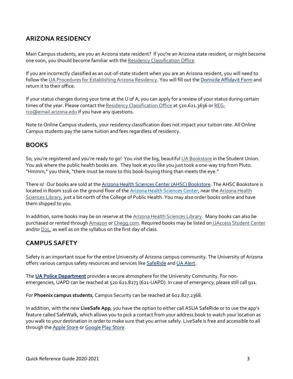## **ARIZONA RESIDENCY**

Main Campus students, are you an Arizona state resident? If you're an Arizona state resident, or might become one soon, you should become familiar with th[e Residency Classification Office.](http://www.registrar.arizona.edu/residency/residenc.htm)

If you are incorrectly classified as an out-of-state student when you are an Arizona resident, you will need to follow th[e UA Procedures for Establishing Arizona Residency.](http://www.registrar.arizona.edu/residency/aborpro.htm) You will fill out the [Domicile Affidavit Form](http://www.registrar.arizona.edu/residency/residency-forms) and return it to their office.

If your status changes during your time at the U of A, you can apply for a review of your status during certain times of the year. Please contact th[e Residency Classification Office](http://www.registrar.arizona.edu/residency/residenc.htm) at 520.621.3636 or [REG](mailto:REG-rco@email.arizona.edu)[rco@email.arizona.edu](mailto:REG-rco@email.arizona.edu) if you have any questions.

Note to Online Campus students, your residency classification does not impact your tuition rate. All Online Campus students pay the same tuition and fees regardless of residency.

### **BOOKS**

So, you're registered and you're ready to go! You visit the big, beautifu[l UA Bookstore](http://www.uofabookstores.com/uaz/) in the Student Union. You ask where the public health books are. They look at you like you just took a one-way trip from Pluto. "Hmmm," you think, "there must be more to this book-buying thing than meets the eye."

There is! Our books are sold at the [Arizona Health Sciences Center \(AHSC\) Bookstore.](http://uabookstores.arizona.edu/ahsc/) The AHSC Bookstore is located in Room 1116 on the ground floor of th[e Arizona Health Sciences Center,](http://ahsl.arizona.edu/mobi/tucson/directions/map) near the [Arizona Health](http://www.ahsl.arizona.edu/)  [Sciences Library,](http://www.ahsl.arizona.edu/) just a bit north of the College of Public Health. You may also order books online and have them shipped to you.

In addition, some books may be on reserve at the [Arizona Health Sciences Library.](http://www.ahsl.arizona.edu/) Many books can also be purchased or rented throug[h Amazon](http://www.amazon.com/) o[r Chegg.com.](http://www.chegg.com/) Required books may be listed on [UAccess Student Center](http://uaccess.arizona.edu/) and/or [D2L,](https://d2l.arizona.edu/) as well as on the syllabus on the first day of class.

## <span id="page-2-0"></span>**CAMPUS SAFETY**

Safety is an important issue for the entire University of Arizona campus community. The University of Arizona offers various campus safety resources and services lik[e SafeRide](http://azsaferide.wixsite.com/saferide) and [UA Alert.](http://cert.arizona.edu/ualert)

The **[UA Police Department](http://uapd.arizona.edu/)** provides a secure atmosphere for the University Community. For nonemergencies, UAPD can be reached at 520.621.8273 (621-UAPD). In case of emergency, please still call 911.

For **Phoenix campus students**, Campus Security can be reached at 602.827.2368.

In addition, with the new **LiveSafe App**, you have the option to either call ASUA SafeRide or to use the app's feature called SafeWalk, which allows you to pick a contact from your address book to watch your location as you walk to your destination in order to make sure that you arrive safely. LiveSafe is free and accessible to all through th[e Apple Store](https://itunes.apple.com/us/app/livesafe/id653666211?mt=8) or [Google Play Store.](https://play.google.com/store/apps/details?id=com.livesafe.activities&hl=en)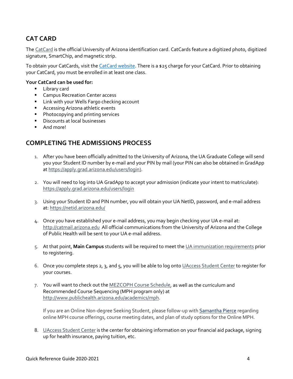## <span id="page-3-0"></span>**CAT CARD**

Th[e CatCard](https://catcard.arizona.edu/) is the official University of Arizona identification card. CatCards feature a digitized photo, digitized signature, SmartChip, and magnetic strip.

To obtain your CatCards, visit the [CatCard website.](https://catcard.arizona.edu/mycatcard-instructions) There is a \$25 charge for your CatCard. Prior to obtaining your CatCard, you must be enrolled in at least one class.

#### **Your CatCard can be used for:**

- **Library card**
- **EXEC** Campus Recreation Center access
- **E** Link with your Wells Fargo checking account
- **Accessing Arizona athletic events**
- **Photocopying and printing services**
- **Discounts at local businesses**
- And more!

### <span id="page-3-2"></span><span id="page-3-1"></span>**COMPLETING THE ADMISSIONS PROCESS**

- 1. After you have been officially admitted to the University of Arizona, the UA Graduate College will send you your Student ID number by e-mail and your PIN by mail (your PIN can also be obtained in GradApp a[t https://apply.grad.arizona.edu/users/login\)](https://apply.grad.arizona.edu/users/login).
- 2. You will need to log into UA GradApp to accept your admission (indicate your intent to matriculate): <https://apply.grad.arizona.edu/users/login>
- 3. Using your Student ID and PIN number, you will obtain your UA NetID, password, and e-mail address at[: https://netid.arizona.edu/](https://netid.arizona.edu/)
- 4. Once you have established your e-mail address, you may begin checking your UA e-mail at: [http://catmail.arizona.edu](http://catmail.arizona.edu/) All official communications from the University of Arizona and the College of Public Health will be sent to your UA e-mail address.
- 5. At that point, **Main Campus** students will be required to meet the [UA immunization requirements](https://www.health.arizona.edu/immunization-requirements) prior to registering.
- 6. Once you complete steps 2, 3, and 5, you will be able to log onto [UAccess Student Center](http://uaccess.arizona.edu/) to register for your courses.
- 7. You will want to check out the [MEZCOPH Course Schedule,](http://www.publichealth.arizona.edu/students/course-schedule) as well as the curriculum and Recommended Course Sequencing (MPH program only) at [http://www.publichealth.arizona.edu/academics/mph.](http://www.publichealth.arizona.edu/academics/mph)

If you are an Online Non-degree Seeking Student, please follow-up wit[h Samantha Pierce](mailto:spierce@email.arizona.edu) regarding online MPH course offerings, course meeting dates, and plan of study options for the Online MPH.

8. [UAccess Student Center](http://uaccess.arizona.edu/) is the center for obtaining information on your financial aid package, signing up for health insurance, paying tuition, etc.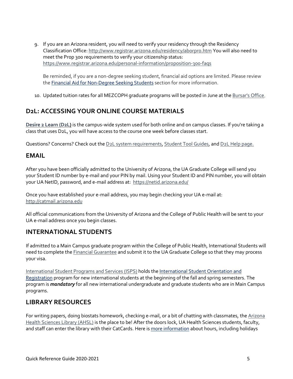9. If you are an Arizona resident, you will need to verify your residency through the Residency Classification Office: <http://www.registrar.arizona.edu/residency/aborpro.htm> You will also need to meet the Prop 300 requirements to verify your citizenship status: <https://www.registrar.arizona.edu/personal-information/proposition-300-faqs>

Be reminded, if you are a non-degree seeking student, financial aid options are limited. Please review the [Financial Aid for Non-Degree Seeking Students](https://publichealth.arizona.edu/graduate-students/graduate-admissions/non-degree) section for more information.

10. Updated tuition rates for all MEZCOPH graduate programs will be posted in June at the [Bursar's Office.](http://www.bursar.arizona.edu/students/fees/showrates.asp?term=104&feetype=cph-grad&feerate=all)

## **D2L: ACCESSING YOUR ONLINE COURSE MATERIALS**

**[Desire 2 Learn \(D2L\)](https://d2l.arizona.edu/)** is the campus-wide system used for both online and on campus classes. If you're taking a class that uses D2L, you will have access to the course one week before classes start.

Questions? Concerns? Check out th[e D2L system requirements,](http://help.d2l.arizona.edu/student/minimum-system-requirements) [Student Tool Guides,](http://help.d2l.arizona.edu/student/student-tool-manual) an[d D2L Help page.](http://help.d2l.arizona.edu/)

#### <span id="page-4-0"></span>**EMAIL**

After you have been officially admitted to the University of Arizona, the UA Graduate College will send you your Student ID number by e-mail and your PIN by mail. Using your Student ID and PIN number, you will obtain your UA NetID, password, and e-mail address at: <https://netid.arizona.edu/>

Once you have established your e-mail address, you may begin checking your UA e-mail at: [http://catmail.arizona.edu](http://catmail.arizona.edu/)

All official communications from the University of Arizona and the College of Public Health will be sent to your UA e-mail address once you begin classes.

## <span id="page-4-1"></span>**INTERNATIONAL STUDENTS**

If admitted to a Main Campus graduate program within the College of Public Health, International Students will need to complete th[e Financial Guarantee](http://grad.arizona.edu/admissions/admissions-requirements/international-students/proof-of-financial-resources) and submit it to the UA Graduate College so that they may process your visa.

[International Student Programs and Services \(ISPS\)](https://global.arizona.edu/international-students) holds th[e International Student Orientation and](http://global.arizona.edu/international-students/orientation-information)  [Registration](http://global.arizona.edu/international-students/orientation-information) program for new international students at the beginning of the fall and spring semesters. The program is *mandatory* for all new international undergraduate and graduate students who are in Main Campus programs.

## <span id="page-4-2"></span>**LIBRARY RESOURCES**

For writing papers, doing biostats homework, checking e-mail, or a bit of chatting with classmates, the Arizona [Health Sciences Library \(AHSL\)](http://ahsl.arizona.edu/) is the place to be! After the doors lock, UA Health Sciences students, faculty, and staff can enter the library with their CatCards. Here i[s more information](http://ahsl.arizona.edu/about/hours) about hours, including holidays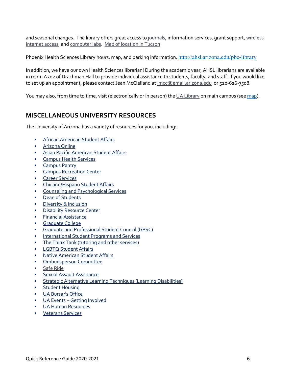and seasonal changes. The library offers great access t[o journals,](http://zp9vv3zm2k.search.serialssolutions.com/?V=1.0&L=ZP9VV3ZM2K&N=100&S=T_AZ&C=A) information services, grant support, wireless [internet access,](http://ahsl.arizona.edu/services/wireless-access) an[d computer labs.](http://ahsl.arizona.edu/services/library-computer-lab-tucson) [Map of location in Tucson](http://ahsl.arizona.edu/about/ahsl-tucson/directions-parking#ahsc-map)

Phoenix Health Sciences Library hours, map, and parking information: <http://ahsl.arizona.edu/pbc-library>

In addition, we have our own Health Sciences librarian! During the academic year, AHSL librarians are available in room A202 of Drachman Hall to provide individual assistance to students, faculty, and staff. If you would like to set up an appointment, please contact Jean McClelland at [jmcc@email.arizona.edu](mailto:jmcc@email.arizona.edu) or 520-626-7508.

You may also, from time to time, visit (electronically or in person) th[e UA Library](http://www.library.arizona.edu/) on main campus (se[e map\)](http://new.library.arizona.edu/visit/main).

## <span id="page-5-0"></span>**MISCELLANEOUS UNIVERSITY RESOURCES**

The University of Arizona has a variety of resources for you, including:

- **[African American Student Affairs](http://aasa.web.arizona.edu/)**
- [Arizona Online](https://online.arizona.edu/programs/graduate/online-master-public-health-public-health-mph)
- **[Asian Pacific American Student Affairs](http://apasa.arizona.edu/)**
- **[Campus Health Services](http://www.health.arizona.edu/)**
- **[Campus Pantry](http://campuspantry.arizona.edu/)**
- [Campus Recreation Center](http://rec.arizona.edu/)
- **[Career Services](http://www.career.arizona.edu/)**
- [Chicano/Hispano Student Affairs](http://chsa.web.arizona.edu/)
- **EXECOUNSELLING AND PROPORT COUNSELLING**
- [Dean of Students](https://deanofstudents.arizona.edu/)
- **[Diversity & Inclusion](http://diversity.arizona.edu/)**
- **-** [Disability Resource Center](http://drc.arizona.edu/)
- **[Financial Assistance](https://financialaid.arizona.edu/)**
- [Graduate College](http://grad.arizona.edu/)
- [Graduate and Professional Student Council \(GPSC\)](http://www.gpsc.arizona.edu/)
- **[International Student Programs and Services](http://global.arizona.edu/international-students)**
- **[The Think Tank \(tutoring and other services\)](http://thinktank.arizona.edu/)**
- **[LGBTQ Student Affairs](http://lgbtq.arizona.edu/)**
- [Native American Student Affairs](http://nasa.web.arizona.edu/)
- **[Ombudsperson Committee](http://ombuds.arizona.edu/)**
- [Safe Ride](https://azsaferide.wixsite.com/saferide/contact-us)
- **[Sexual Assault Assistance](http://www.health.arizona.edu/oasis-sexual-assault-and-trauma-services)**
- **Strategic Alternative [Learning Techniques \(Learning Disabilities\)](http://www.salt.arizona.edu/)**
- **[Student Housing](http://www.life.arizona.edu/)**
- **[UA Bursar's Office](http://bursar.arizona.edu/)**
- **UA Events [Getting Involved](http://www.arizona.edu/getting-involved)**
- **[UA Human Resources](http://hr.arizona.edu/jobs)**
- <span id="page-5-1"></span>**[Veterans Services](http://www.registrar.arizona.edu/military-benefits/welcome-veterans-services)**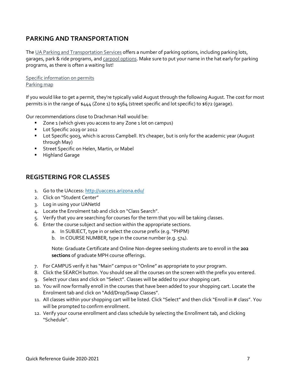## **PARKING AND TRANSPORTATION**

Th[e UA Parking and Transportation Services](http://parking.arizona.edu/) offers a number of parking options, including parking lots, garages, park & ride programs, an[d carpool options.](https://parking.arizona.edu/transportation/rideshare-programs/carpool-parking/) Make sure to put your name in the hat early for parking programs, as there is often a waiting list!

[Specific information on permits](https://parking.arizona.edu/parking/permit-info/) [Parking map](http://parking.arizona.edu/pdf/maps/campus.pdf)

If you would like to get a permit, they're typically valid August through the following August. The cost for most permits is in the range of \$444 (Zone 1) to \$564 (street specific and lot specific) to \$672 (qarage).

Our recommendations close to Drachman Hall would be:

- Zone 1 (which gives you access to any Zone 1 lot on campus)
- **Lot Specific 2029 or 2012**
- **Lot Specific 9003, which is across Campbell. It's cheaper, but is only for the academic year (August** through May)
- **Street Specific on Helen, Martin, or Mabel**
- **Highland Garage**

#### <span id="page-6-0"></span>**REGISTERING FOR CLASSES**

- 1. Go to the UAccess[: http://uaccess.arizona.edu/](http://uaccess.arizona.edu/)
- 2. Click on "Student Center"
- 3. Log in using your UANetId
- 4. Locate the Enrolment tab and click on "Class Search".
- 5. Verify that you are searching for courses for the term that you will be taking classes.
- 6. Enter the course subject and section within the appropriate sections.
	- a. In SUBJECT, type in or select the course prefix (e.g."PHPM)
	- b. In COURSE NUMBER, type in the course number (e.g. 574).

Note: Graduate Certificate and Online Non-degree seeking students are to enroll in the **202 sections** of graduate MPH course offerings.

- 7. For CAMPUS verify it has "Main" campus or "Online" as appropriate to your program.
- 8. Click the SEARCH button. You should see all the courses on the screen with the prefix you entered.
- 9. Select your class and click on "Select". Classes will be added to your shopping cart.
- 10. You will now formally enroll in the courses that have been added to your shopping cart. Locate the Enrolment tab and click on "Add/Drop/Swap Classes".
- 11. All classes within your shopping cart will be listed. Click "Select" and then click "Enroll in # class". You will be prompted to confirm enrollment.
- <span id="page-6-1"></span>12. Verify your course enrollment and class schedule by selecting the Enrollment tab, and clicking "Schedule".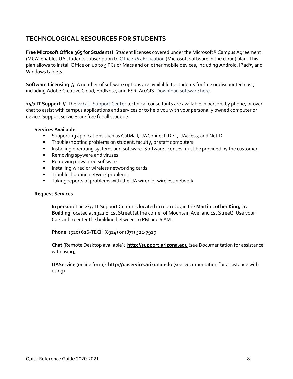## **TECHNOLOGICAL RESOURCES FOR STUDENTS**

**Free Microsoft Office 365 for Students!** Student licenses covered under the Microsoft® Campus Agreement (MCA) enables UA students subscription t[o Office 365 Education](http://uabookstores.arizona.edu/technology/campuslicensing/default.asp) (Microsoft software in the cloud) plan. This plan allows to install Office on up to 5 PCs or Macs and on other mobile devices, including Android, iPad®, and Windows tablets.

**Software Licensing //** A number of software options are available to students for free or discounted cost, including Adobe Creative Cloud, EndNote, and ESRI ArcGIS. [Download software here](https://softwarelicense.arizona.edu/students)**.**

**24/7 IT Support //** Th[e 24/7 IT Support Center](https://it.arizona.edu/service/247-it-support) technical consultants are available in person, by phone, or over chat to assist with campus applications and services or to help you with your personally owned computer or device. Support services are free for all students.

#### **Services Available**

- Supporting applications such as CatMail, UAConnect, D2L, UAccess, and NetID
- **Troubleshooting problems on student, faculty, or staff computers**
- **Installing operating systems and software. Software licenses must be provided by the customer.**
- **Removing spyware and viruses**
- **Removing unwanted software**
- **Installing wired or wireless networking cards**
- **Troubleshooting network problems**
- Taking reports of problems with the UA wired or wireless network

#### **Request Services**

**In person:** The 24/7 IT Support Center is located in room 203 in the **Martin Luther King, Jr. Building** located at 1322 E. 1st Street (at the corner of Mountain Ave. and 1st Street). Use your CatCard to enter the building between 10 PM and 6 AM.

**Phone:** (520) 626-TECH (8324) or (877) 522-7929.

**Chat** (Remote Desktop available): **[http://support.arizona.edu](http://support.arizona.edu/)** (see Documentation for assistance with using)

<span id="page-7-0"></span>**UAService** (online form): **[http://uaservice.arizona.edu](http://uaservice.arizona.edu/)** (see Documentation for assistance with using)